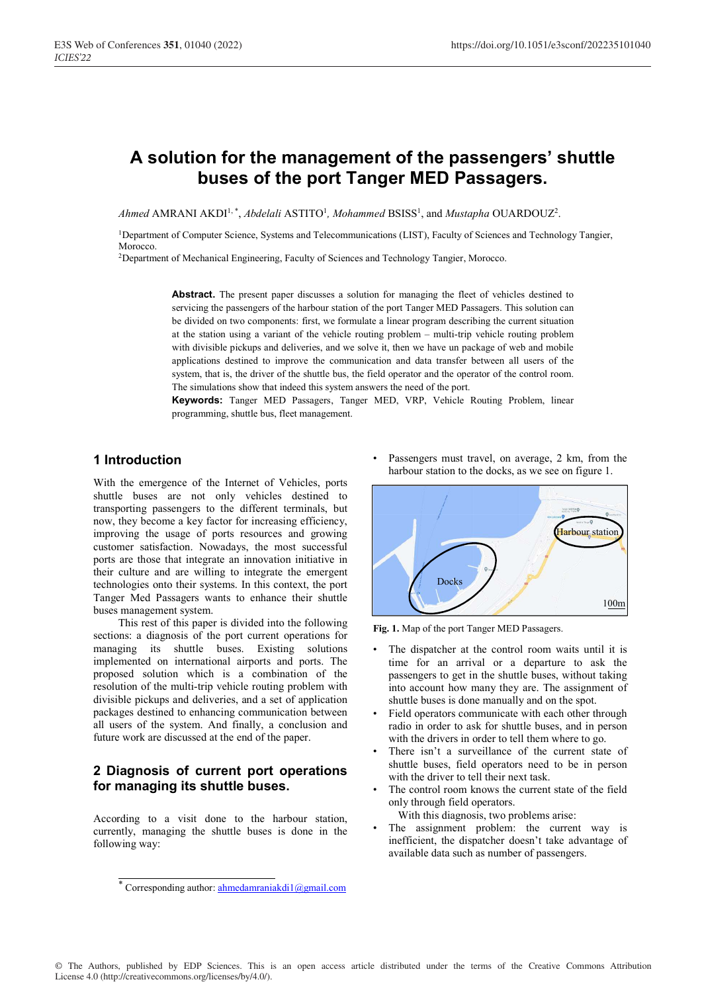# **A solution for the management of the passengers' shuttle buses of the port Tanger MED Passagers.**

Ahmed AMRANI AKDI<sup>1,\*</sup>, *Abdelali* ASTITO<sup>1</sup>, *Mohammed* BSISS<sup>1</sup>, and *Mustapha* OUARDOUZ<sup>2</sup>.

1Department of Computer Science, Systems and Telecommunications (LIST), Faculty of Sciences and Technology Tangier, Morocco.

<sup>2</sup>Department of Mechanical Engineering, Faculty of Sciences and Technology Tangier, Morocco.

**Abstract.** The present paper discusses a solution for managing the fleet of vehicles destined to servicing the passengers of the harbour station of the port Tanger MED Passagers. This solution can be divided on two components: first, we formulate a linear program describing the current situation at the station using a variant of the vehicle routing problem – multi-trip vehicle routing problem with divisible pickups and deliveries, and we solve it, then we have un package of web and mobile applications destined to improve the communication and data transfer between all users of the system, that is, the driver of the shuttle bus, the field operator and the operator of the control room. The simulations show that indeed this system answers the need of the port.

**Keywords:** Tanger MED Passagers, Tanger MED, VRP, Vehicle Routing Problem, linear programming, shuttle bus, fleet management.

### **1 Introduction**

With the emergence of the Internet of Vehicles, ports shuttle buses are not only vehicles destined to transporting passengers to the different terminals, but now, they become a key factor for increasing efficiency, improving the usage of ports resources and growing customer satisfaction. Nowadays, the most successful ports are those that integrate an innovation initiative in their culture and are willing to integrate the emergent technologies onto their systems. In this context, the port Tanger Med Passagers wants to enhance their shuttle buses management system.

 This rest of this paper is divided into the following sections: a diagnosis of the port current operations for managing its shuttle buses. Existing solutions implemented on international airports and ports. The proposed solution which is a combination of the resolution of the multi-trip vehicle routing problem with divisible pickups and deliveries, and a set of application packages destined to enhancing communication between all users of the system. And finally, a conclusion and future work are discussed at the end of the paper.

### **2 Diagnosis of current port operations for managing its shuttle buses.**

According to a visit done to the harbour station, currently, managing the shuttle buses is done in the following way:

Passengers must travel, on average, 2 km, from the harbour station to the docks, as we see on figure 1.



**Fig. 1.** Map of the port Tanger MED Passagers.

- The dispatcher at the control room waits until it is time for an arrival or a departure to ask the passengers to get in the shuttle buses, without taking into account how many they are. The assignment of shuttle buses is done manually and on the spot.
- Field operators communicate with each other through radio in order to ask for shuttle buses, and in person with the drivers in order to tell them where to go.
- There isn't a surveillance of the current state of shuttle buses, field operators need to be in person with the driver to tell their next task.
- The control room knows the current state of the field only through field operators.
	- With this diagnosis, two problems arise:
- The assignment problem: the current way is inefficient, the dispatcher doesn't take advantage of available data such as number of passengers.

© The Authors, published by EDP Sciences. This is an open access article distributed under the terms of the Creative Commons Attribution License 4.0 (http://creativecommons.org/licenses/by/4.0/).

<sup>\*</sup> Corresponding author: **ahmedamraniakdi1@gmail.com**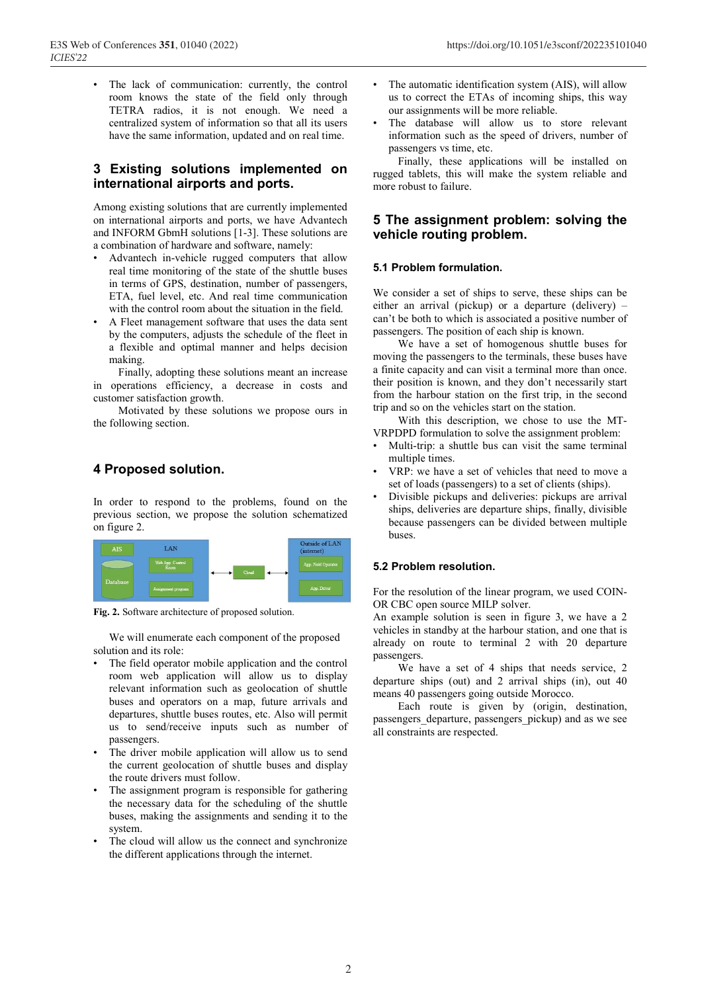The lack of communication: currently, the control room knows the state of the field only through TETRA radios, it is not enough. We need a centralized system of information so that all its users have the same information, updated and on real time.

### **3 Existing solutions implemented on international airports and ports.**

Among existing solutions that are currently implemented on international airports and ports, we have Advantech and INFORM GbmH solutions [1-3]. These solutions are a combination of hardware and software, namely:

- Advantech in-vehicle rugged computers that allow real time monitoring of the state of the shuttle buses in terms of GPS, destination, number of passengers, ETA, fuel level, etc. And real time communication with the control room about the situation in the field.
- A Fleet management software that uses the data sent by the computers, adjusts the schedule of the fleet in a flexible and optimal manner and helps decision making.

 Finally, adopting these solutions meant an increase in operations efficiency, a decrease in costs and customer satisfaction growth.

 Motivated by these solutions we propose ours in the following section.

### **4 Proposed solution.**

In order to respond to the problems, found on the previous section, we propose the solution schematized on figure 2.



**Fig. 2.** Software architecture of proposed solution.

We will enumerate each component of the proposed solution and its role:

- The field operator mobile application and the control room web application will allow us to display relevant information such as geolocation of shuttle buses and operators on a map, future arrivals and departures, shuttle buses routes, etc. Also will permit us to send/receive inputs such as number of passengers.
- The driver mobile application will allow us to send the current geolocation of shuttle buses and display the route drivers must follow.
- The assignment program is responsible for gathering the necessary data for the scheduling of the shuttle buses, making the assignments and sending it to the system.
- The cloud will allow us the connect and synchronize the different applications through the internet.
- The automatic identification system (AIS), will allow us to correct the ETAs of incoming ships, this way our assignments will be more reliable.
- The database will allow us to store relevant information such as the speed of drivers, number of passengers vs time, etc.

Finally, these applications will be installed on rugged tablets, this will make the system reliable and more robust to failure.

### **5 The assignment problem: solving the vehicle routing problem.**

#### **5.1 Problem formulation.**

We consider a set of ships to serve, these ships can be either an arrival (pickup) or a departure (delivery) – can't be both to which is associated a positive number of passengers. The position of each ship is known.

 We have a set of homogenous shuttle buses for moving the passengers to the terminals, these buses have a finite capacity and can visit a terminal more than once. their position is known, and they don't necessarily start from the harbour station on the first trip, in the second trip and so on the vehicles start on the station.

 With this description, we chose to use the MT-VRPDPD formulation to solve the assignment problem:

- Multi-trip: a shuttle bus can visit the same terminal multiple times.
- VRP: we have a set of vehicles that need to move a set of loads (passengers) to a set of clients (ships).
- Divisible pickups and deliveries: pickups are arrival ships, deliveries are departure ships, finally, divisible because passengers can be divided between multiple buses.

#### **5.2 Problem resolution.**

For the resolution of the linear program, we used COIN-OR CBC open source MILP solver.

An example solution is seen in figure 3, we have a 2 vehicles in standby at the harbour station, and one that is already on route to terminal 2 with 20 departure passengers.

 We have a set of 4 ships that needs service, 2 departure ships (out) and 2 arrival ships (in), out 40 means 40 passengers going outside Morocco.

 Each route is given by (origin, destination, passengers departure, passengers pickup) and as we see all constraints are respected.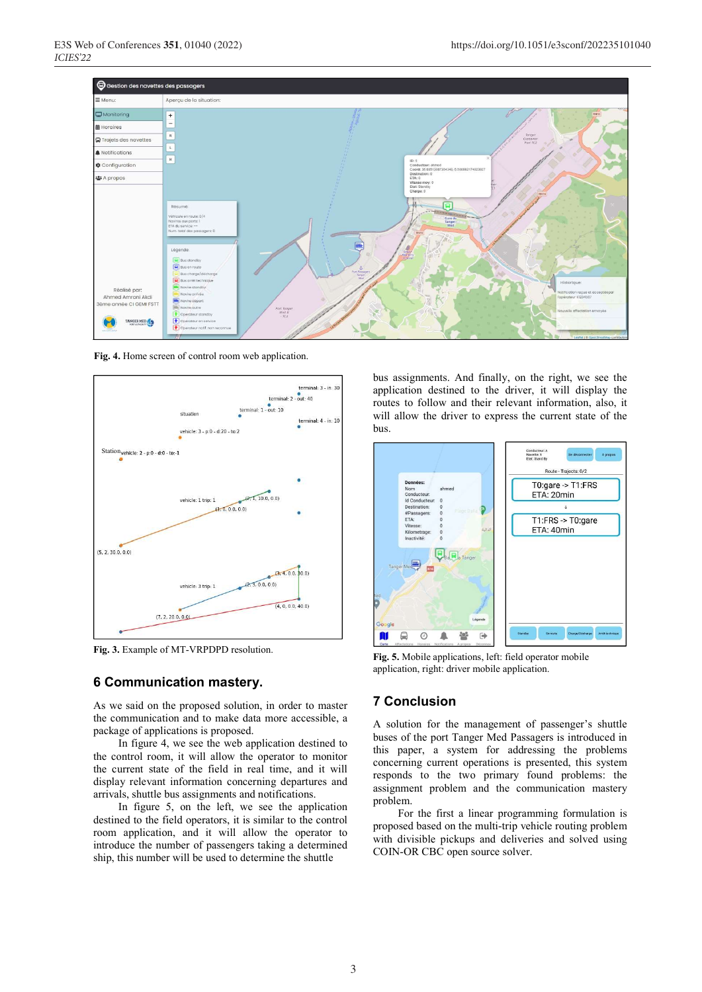

**Fig. 4.** Home screen of control room web application.



**Fig. 3.** Example of MT-VRPDPD resolution.

#### **6 Communication mastery.**

As we said on the proposed solution, in order to master the communication and to make data more accessible, a package of applications is proposed.

 In figure 4, we see the web application destined to the control room, it will allow the operator to monitor the current state of the field in real time, and it will display relevant information concerning departures and arrivals, shuttle bus assignments and notifications.

 In figure 5, on the left, we see the application destined to the field operators, it is similar to the control room application, and it will allow the operator to introduce the number of passengers taking a determined ship, this number will be used to determine the shuttle

bus assignments. And finally, on the right, we see the application destined to the driver, it will display the routes to follow and their relevant information, also, it will allow the driver to express the current state of the bus.



**Fig. 5.** Mobile applications, left: field operator mobile application, right: driver mobile application.

## **7 Conclusion**

A solution for the management of passenger's shuttle buses of the port Tanger Med Passagers is introduced in this paper, a system for addressing the problems concerning current operations is presented, this system responds to the two primary found problems: the assignment problem and the communication mastery problem.

 For the first a linear programming formulation is proposed based on the multi-trip vehicle routing problem with divisible pickups and deliveries and solved using COIN-OR CBC open source solver.